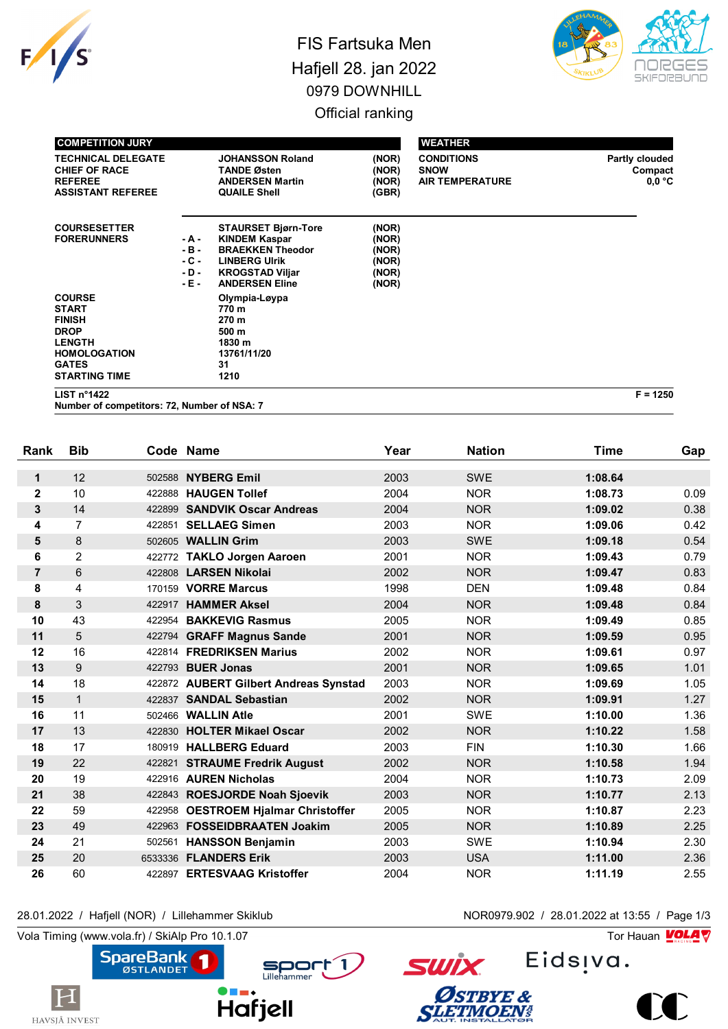

## FIS Fartsuka Men Hafjell 28. jan 2022 0979 DOWNHILL Official ranking



| <b>COMPETITION JURY</b>                                                                                                                       |                                             |                                                                                                                                                          |                                                    | <b>WEATHER</b>                                             |                                     |
|-----------------------------------------------------------------------------------------------------------------------------------------------|---------------------------------------------|----------------------------------------------------------------------------------------------------------------------------------------------------------|----------------------------------------------------|------------------------------------------------------------|-------------------------------------|
| <b>TECHNICAL DELEGATE</b><br><b>CHIEF OF RACE</b><br><b>REFEREE</b><br><b>ASSISTANT REFEREE</b>                                               |                                             | <b>JOHANSSON Roland</b><br><b>TANDE Østen</b><br><b>ANDERSEN Martin</b><br><b>QUAILE Shell</b>                                                           | (NOR)<br>(NOR)<br>(NOR)<br>(GBR)                   | <b>CONDITIONS</b><br><b>SNOW</b><br><b>AIR TEMPERATURE</b> | Partly clouded<br>Compact<br>0.0 °C |
| <b>COURSESETTER</b><br><b>FORERUNNERS</b>                                                                                                     | - A -<br>$-B -$<br>- C -<br>$-D -$<br>- E - | <b>STAURSET Bjørn-Tore</b><br><b>KINDEM Kaspar</b><br><b>BRAEKKEN Theodor</b><br><b>LINBERG Ulrik</b><br><b>KROGSTAD Viljar</b><br><b>ANDERSEN Eline</b> | (NOR)<br>(NOR)<br>(NOR)<br>(NOR)<br>(NOR)<br>(NOR) |                                                            |                                     |
| <b>COURSE</b><br><b>START</b><br><b>FINISH</b><br><b>DROP</b><br><b>LENGTH</b><br><b>HOMOLOGATION</b><br><b>GATES</b><br><b>STARTING TIME</b> |                                             | Olympia-Løypa<br>770 m<br>270 m<br>500 m<br>1830 m<br>13761/11/20<br>31<br>1210                                                                          |                                                    |                                                            |                                     |

**LIST n°1422 F = 1250**

**Number of competitors: 72, Number of NSA: 7**

| Rank           | <b>Bib</b>     |         | Code Name                             | Year | <b>Nation</b> | <b>Time</b> | Gap  |
|----------------|----------------|---------|---------------------------------------|------|---------------|-------------|------|
| 1              | 12             | 502588  | <b>NYBERG Emil</b>                    | 2003 | <b>SWE</b>    | 1:08.64     |      |
| $\mathbf{2}$   | 10             | 422888  | <b>HAUGEN Tollef</b>                  | 2004 | <b>NOR</b>    | 1:08.73     | 0.09 |
| 3              | 14             | 422899  | <b>SANDVIK Oscar Andreas</b>          | 2004 | <b>NOR</b>    | 1:09.02     | 0.38 |
| 4              | $\overline{7}$ | 422851  | <b>SELLAEG Simen</b>                  | 2003 | <b>NOR</b>    | 1:09.06     | 0.42 |
| 5              | 8              | 502605  | <b>WALLIN Grim</b>                    | 2003 | <b>SWE</b>    | 1:09.18     | 0.54 |
| 6              | $\overline{2}$ |         | 422772 TAKLO Jorgen Aaroen            | 2001 | <b>NOR</b>    | 1:09.43     | 0.79 |
| $\overline{7}$ | 6              |         | 422808 LARSEN Nikolai                 | 2002 | <b>NOR</b>    | 1:09.47     | 0.83 |
| 8              | 4              |         | 170159 VORRE Marcus                   | 1998 | <b>DEN</b>    | 1:09.48     | 0.84 |
| 8              | 3              | 422917  | <b>HAMMER Aksel</b>                   | 2004 | <b>NOR</b>    | 1:09.48     | 0.84 |
| 10             | 43             | 422954  | <b>BAKKEVIG Rasmus</b>                | 2005 | <b>NOR</b>    | 1:09.49     | 0.85 |
| 11             | 5              | 422794  | <b>GRAFF Magnus Sande</b>             | 2001 | <b>NOR</b>    | 1:09.59     | 0.95 |
| 12             | 16             |         | 422814 FREDRIKSEN Marius              | 2002 | <b>NOR</b>    | 1:09.61     | 0.97 |
| 13             | 9              | 422793  | <b>BUER Jonas</b>                     | 2001 | <b>NOR</b>    | 1:09.65     | 1.01 |
| 14             | 18             |         | 422872 AUBERT Gilbert Andreas Synstad | 2003 | <b>NOR</b>    | 1:09.69     | 1.05 |
| 15             | $\mathbf{1}$   |         | 422837 SANDAL Sebastian               | 2002 | <b>NOR</b>    | 1:09.91     | 1.27 |
| 16             | 11             | 502466  | <b>WALLIN Atle</b>                    | 2001 | <b>SWE</b>    | 1:10.00     | 1.36 |
| 17             | 13             | 422830  | <b>HOLTER Mikael Oscar</b>            | 2002 | <b>NOR</b>    | 1:10.22     | 1.58 |
| 18             | 17             |         | 180919 HALLBERG Eduard                | 2003 | <b>FIN</b>    | 1:10.30     | 1.66 |
| 19             | 22             | 422821  | <b>STRAUME Fredrik August</b>         | 2002 | <b>NOR</b>    | 1:10.58     | 1.94 |
| 20             | 19             |         | 422916 AUREN Nicholas                 | 2004 | <b>NOR</b>    | 1:10.73     | 2.09 |
| 21             | 38             |         | 422843 ROESJORDE Noah Sjoevik         | 2003 | <b>NOR</b>    | 1:10.77     | 2.13 |
| 22             | 59             | 422958  | <b>OESTROEM Hjalmar Christoffer</b>   | 2005 | <b>NOR</b>    | 1:10.87     | 2.23 |
| 23             | 49             | 422963  | <b>FOSSEIDBRAATEN Joakim</b>          | 2005 | <b>NOR</b>    | 1:10.89     | 2.25 |
| 24             | 21             | 502561  | <b>HANSSON Benjamin</b>               | 2003 | <b>SWE</b>    | 1:10.94     | 2.30 |
| 25             | 20             | 6533336 | <b>FLANDERS Erik</b>                  | 2003 | <b>USA</b>    | 1:11.00     | 2.36 |
| 26             | 60             |         | 422897 ERTESVAAG Kristoffer           | 2004 | <b>NOR</b>    | 1:11.19     | 2.55 |

## 28.01.2022 / Hafjell (NOR) / Lillehammer Skiklub NOR0979.902 / 28.01.2022 at 13:55 / Page 1/3

Vola Timing (www.vola.fr) / SkiAlp Pro 10.1.07 Tor Hauan Motor Science of Tor Hauan Motor Science of Tor Hauan

 $|\mathbf{H}|$ 

HAVSJÅ INVEST



Eids<sub>!va</sub>.



**SWİX** 

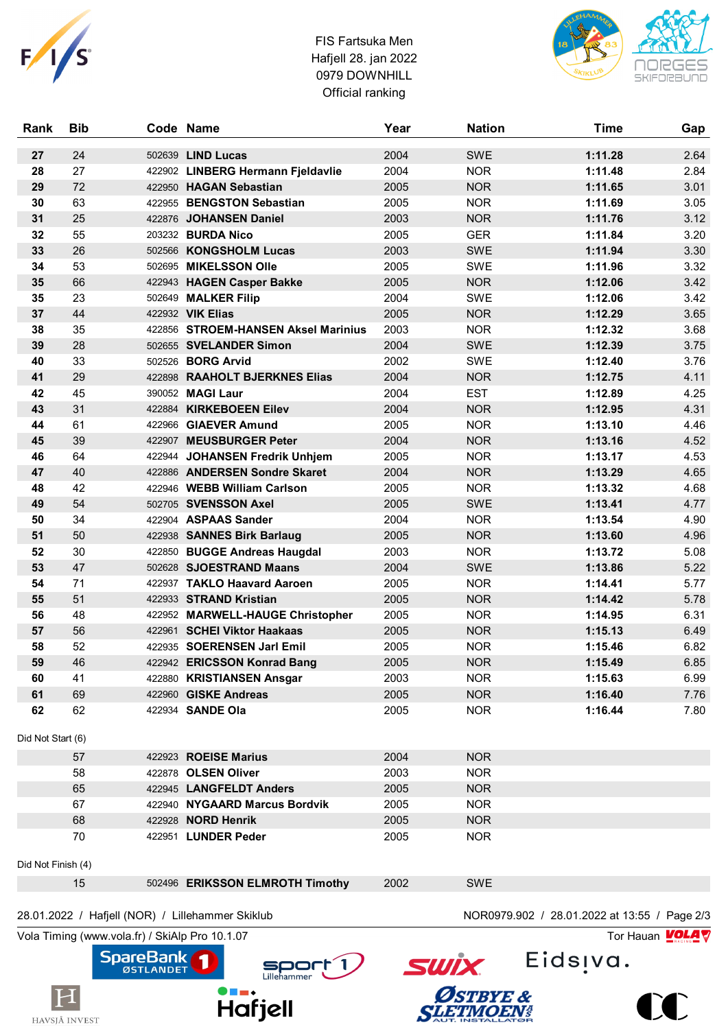

## FIS Fartsuka Men Hafjell 28. jan 2022 0979 DOWNHILL Official ranking



| Rank               | <b>Bib</b> | Code Name                                        | Year | <b>Nation</b>                                | <b>Time</b> | Gap  |
|--------------------|------------|--------------------------------------------------|------|----------------------------------------------|-------------|------|
| 27                 | 24         | 502639 LIND Lucas                                | 2004 | <b>SWE</b>                                   | 1:11.28     | 2.64 |
| 28                 | 27         | 422902 LINBERG Hermann Fjeldavlie                | 2004 | <b>NOR</b>                                   | 1:11.48     | 2.84 |
| 29                 | 72         | 422950 HAGAN Sebastian                           | 2005 | <b>NOR</b>                                   | 1:11.65     | 3.01 |
| 30                 | 63         | 422955 BENGSTON Sebastian                        | 2005 | <b>NOR</b>                                   | 1:11.69     | 3.05 |
| 31                 | 25         | 422876 JOHANSEN Daniel                           | 2003 | <b>NOR</b>                                   | 1:11.76     | 3.12 |
| 32                 | 55         | 203232 BURDA Nico                                | 2005 | <b>GER</b>                                   | 1:11.84     | 3.20 |
| 33                 | 26         | 502566 KONGSHOLM Lucas                           | 2003 | SWE                                          | 1:11.94     | 3.30 |
| 34                 | 53         | 502695 MIKELSSON Olle                            | 2005 | SWE                                          | 1:11.96     | 3.32 |
| 35                 | 66         | 422943 HAGEN Casper Bakke                        | 2005 | <b>NOR</b>                                   | 1:12.06     | 3.42 |
| 35                 | 23         | 502649 MALKER Filip                              | 2004 | SWE                                          | 1:12.06     | 3.42 |
| 37                 | 44         | 422932 VIK Elias                                 | 2005 | <b>NOR</b>                                   | 1:12.29     | 3.65 |
| 38                 | 35         | 422856 STROEM-HANSEN Aksel Marinius              | 2003 | <b>NOR</b>                                   | 1:12.32     | 3.68 |
| 39                 | 28         | 502655 SVELANDER Simon                           | 2004 | <b>SWE</b>                                   | 1:12.39     | 3.75 |
| 40                 | 33         | 502526 <b>BORG Arvid</b>                         | 2002 | SWE                                          | 1:12.40     | 3.76 |
| 41                 | 29         | 422898 RAAHOLT BJERKNES Elias                    | 2004 | <b>NOR</b>                                   | 1:12.75     | 4.11 |
| 42                 | 45         | 390052 MAGI Laur                                 | 2004 | <b>EST</b>                                   | 1:12.89     | 4.25 |
| 43                 | 31         | 422884 KIRKEBOEEN Eilev                          | 2004 | <b>NOR</b>                                   | 1:12.95     | 4.31 |
| 44                 | 61         | 422966 GIAEVER Amund                             | 2005 | <b>NOR</b>                                   | 1:13.10     | 4.46 |
| 45                 | 39         | 422907 MEUSBURGER Peter                          | 2004 | <b>NOR</b>                                   | 1:13.16     | 4.52 |
| 46                 | 64         | 422944 JOHANSEN Fredrik Unhjem                   | 2005 | <b>NOR</b>                                   | 1:13.17     | 4.53 |
| 47                 | 40         | 422886 ANDERSEN Sondre Skaret                    | 2004 | <b>NOR</b>                                   | 1:13.29     | 4.65 |
| 48                 | 42         | 422946 WEBB William Carlson                      | 2005 | <b>NOR</b>                                   | 1:13.32     | 4.68 |
| 49                 | 54         | 502705 SVENSSON Axel                             | 2005 | SWE                                          | 1:13.41     | 4.77 |
| 50                 | 34         | 422904 ASPAAS Sander                             | 2004 | <b>NOR</b>                                   | 1:13.54     | 4.90 |
| 51                 | 50         | 422938 SANNES Birk Barlaug                       | 2005 | <b>NOR</b>                                   | 1:13.60     | 4.96 |
| 52                 | 30         | 422850 BUGGE Andreas Haugdal                     | 2003 | <b>NOR</b>                                   | 1:13.72     | 5.08 |
| 53                 | 47         | 502628 SJOESTRAND Maans                          | 2004 | SWE                                          | 1:13.86     | 5.22 |
| 54                 | 71         | 422937 TAKLO Haavard Aaroen                      | 2005 | <b>NOR</b>                                   | 1:14.41     | 5.77 |
| 55                 | 51         | 422933 STRAND Kristian                           | 2005 | <b>NOR</b>                                   | 1:14.42     | 5.78 |
| 56                 | 48         | 422952 MARWELL-HAUGE Christopher                 | 2005 | <b>NOR</b>                                   | 1:14.95     | 6.31 |
| 57                 | 56         | 422961 SCHEI Viktor Haakaas                      | 2005 | <b>NOR</b>                                   | 1:15.13     | 6.49 |
| 58                 | 52         | 422935 SOERENSEN Jarl Emil                       | 2005 | <b>NOR</b>                                   | 1:15.46     | 6.82 |
| 59                 | 46         | 422942 ERICSSON Konrad Bang                      | 2005 | <b>NOR</b>                                   | 1:15.49     | 6.85 |
| 60                 | 41         | 422880 KRISTIANSEN Ansgar                        | 2003 | <b>NOR</b>                                   | 1:15.63     | 6.99 |
| 61                 | 69         | 422960 GISKE Andreas                             | 2005 | <b>NOR</b>                                   | 1:16.40     | 7.76 |
| 62                 | 62         | 422934 SANDE Ola                                 | 2005 | <b>NOR</b>                                   | 1:16.44     | 7.80 |
| Did Not Start (6)  |            |                                                  |      |                                              |             |      |
|                    | 57         | 422923 ROEISE Marius                             | 2004 | <b>NOR</b>                                   |             |      |
|                    | 58         | 422878 OLSEN Oliver                              | 2003 | <b>NOR</b>                                   |             |      |
|                    | 65         | 422945 LANGFELDT Anders                          | 2005 | <b>NOR</b>                                   |             |      |
|                    | 67         | 422940 NYGAARD Marcus Bordvik                    | 2005 | <b>NOR</b>                                   |             |      |
|                    | 68         | 422928 NORD Henrik                               | 2005 | <b>NOR</b>                                   |             |      |
|                    | 70         | 422951 LUNDER Peder                              | 2005 | <b>NOR</b>                                   |             |      |
| Did Not Finish (4) |            |                                                  |      |                                              |             |      |
|                    | 15         | 502496 ERIKSSON ELMROTH Timothy                  | 2002 | SWE                                          |             |      |
|                    |            | 28.01.2022 / Hafjell (NOR) / Lillehammer Skiklub |      | NOR0979.902 / 28.01.2022 at 13:55 / Page 2/3 |             |      |

Vola Timing (www.vola.fr) / SkiAlp Pro 10.1.07 Tor Hauan Vola Timing (www.vola.fr) / SkiAlp Pro 10.1.07

 $H$ HAVSJÅ INVEST